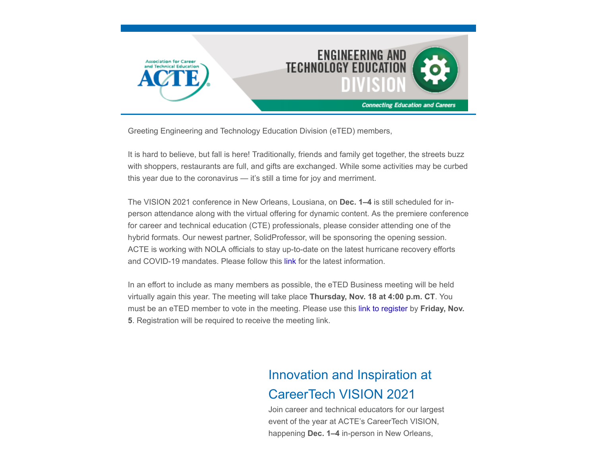

Greeting Engineering and Technology Education Division (eTED) members,

It is hard to believe, but fall is here! Traditionally, friends and family get together, the streets buzz with shoppers, restaurants are full, and gifts are exchanged. While some activities may be curbed this year due to the coronavirus — it's still a time for joy and merriment.

The VISION 2021 conference in New Orleans, Lousiana, on **Dec. 1–4** is still scheduled for inperson attendance along with the virtual offering for dynamic content. As the premiere conference for career and technical education (CTE) professionals, please consider attending one of the hybrid formats. Our newest partner, SolidProfessor, will be sponsoring the opening session. ACTE is working with NOLA officials to stay up-to-date on the latest hurricane recovery efforts and COVID-19 mandates. Please follow this [link](https://ready.nola.gov/incident/coronavirus/safe-reopening/) for the latest information.

In an effort to include as many members as possible, the eTED Business meeting will be held virtually again this year. The meeting will take place **Thursday, Nov. 18 at 4:00 p.m. CT**. You must be an eTED member to vote in the meeting. Please use this [link to register](https://www.acteonline.org/region-division-meetings/) by **Friday, Nov. 5**. Registration will be required to receive the meeting link.

# Innovation and Inspiration at CareerTech VISION 2021

Join career and technical educators for our largest event of the year at ACTE's CareerTech VISION, happening **Dec. 1–4** in-person in New Orleans,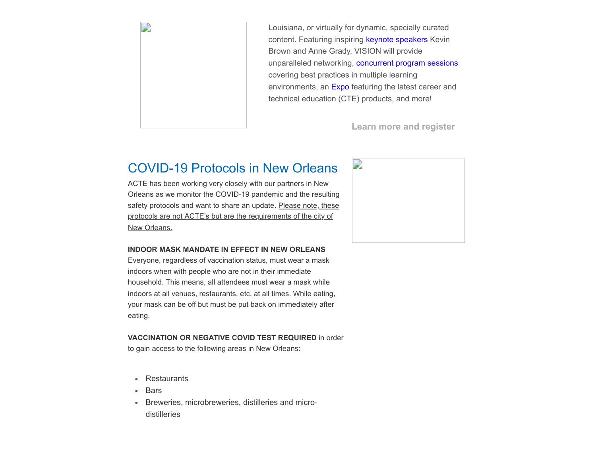

Louisiana, or virtually for dynamic, specially curated content. Featuring inspiring [keynote speakers](https://www.careertechvision.com/about.cfm) Kevin Brown and Anne Grady, VISION will provide unparalleled networking, [concurrent program sessions](https://www.careertechvision.com/program_schedule.cfm) covering best practices in multiple learning environments, an [Expo](https://www.careertechvision.com/current_exhibitors.cfm) featuring the latest career and technical education (CTE) products, and more!

**[Learn more and register](https://www.careertechvision.com/index.cfm)**

## COVID-19 Protocols in New Orleans

ACTE has been working very closely with our partners in New Orleans as we monitor the COVID-19 pandemic and the resulting safety protocols and want to share an update. Please note, these protocols are not ACTE's but are the requirements of the city of New Orleans.

#### **INDOOR MASK MANDATE IN EFFECT IN NEW ORLEANS**

Everyone, regardless of vaccination status, must wear a mask indoors when with people who are not in their immediate household. This means, all attendees must wear a mask while indoors at all venues, restaurants, etc. at all times. While eating, your mask can be off but must be put back on immediately after eating.

### **VACCINATION OR NEGATIVE COVID TEST REQUIRED** in order

to gain access to the following areas in New Orleans:

- Restaurants
- $\bullet$ Bars
- Breweries, microbreweries, distilleries and micro- $\bullet$ distilleries

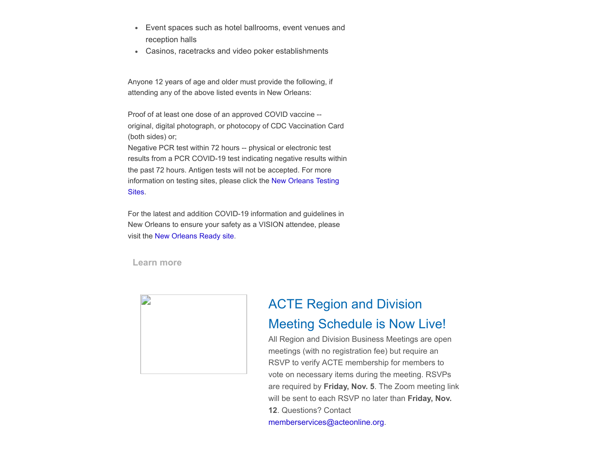- Event spaces such as hotel ballrooms, event venues and  $\bullet$  . reception halls
- Casinos, racetracks and video poker establishments

Anyone 12 years of age and older must provide the following, if attending any of the above listed events in New Orleans:

Proof of at least one dose of an approved COVID vaccine - original, digital photograph, or photocopy of CDC Vaccination Card (both sides) or;

Negative PCR test within 72 hours -- physical or electronic test results from a PCR COVID-19 test indicating negative results within the past 72 hours. Antigen tests will not be accepted. For more [information on testing sites, please click the New Orleans Testing](https://ready.nola.gov/incident/coronavirus/testing/) Sites.

For the latest and addition COVID-19 information and guidelines in New Orleans to ensure your safety as a VISION attendee, please visit the [New Orleans Ready site.](https://ready.nola.gov/incident/coronavirus/safe-reopening/)

**[Learn more](https://ready.nola.gov/incident/coronavirus/safe-reopening/)**



# ACTE Region and Division Meeting Schedule is Now Live!

All Region and Division Business Meetings are open meetings (with no registration fee) but require an RSVP to verify ACTE membership for members to vote on necessary items during the meeting. RSVPs are required by **Friday, Nov. 5**. The Zoom meeting link will be sent to each RSVP no later than **Friday, Nov. 12**. Questions? Contact

[memberservices@acteonline.org.](mailto:memberservices@acteonline.org?subject=Region%2FDivision%20Meeting%20Schedule)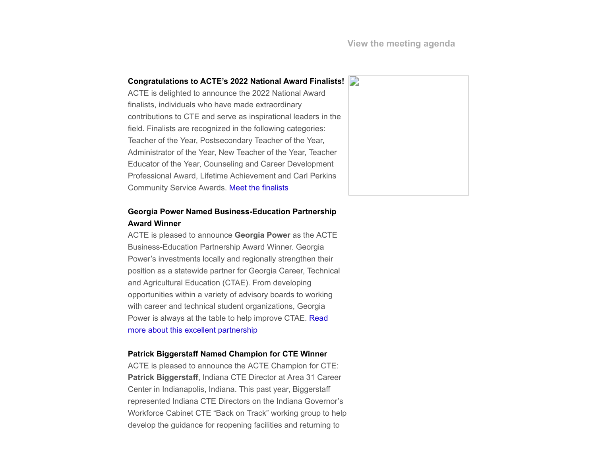#### **Congratulations to ACTE's 2022 National Award Finalists!**

ACTE is delighted to announce the 2022 National Award finalists, individuals who have made extraordinary contributions to CTE and serve as inspirational leaders in the field. Finalists are recognized in the following categories: Teacher of the Year, Postsecondary Teacher of the Year, Administrator of the Year, New Teacher of the Year, Teacher Educator of the Year, Counseling and Career Development Professional Award, Lifetime Achievement and Carl Perkins Community Service Awards. [Meet the finalists](https://www.acteonline.org/professional-development/acte-awards/acte-excellence-awards/)

### **Georgia Power Named Business-Education Partnership Award Winner**

ACTE is pleased to announce **Georgia Power** as the ACTE Business-Education Partnership Award Winner. Georgia Power's investments locally and regionally strengthen their position as a statewide partner for Georgia Career, Technical and Agricultural Education (CTAE). From developing opportunities within a variety of advisory boards to working with career and technical student organizations, Georgia [Power is always at the table to help improve CTAE. Read](https://www.acteonline.org/press-releases/georgia-power-named-acte-business-education-partnership-award-winner/) more about this excellent partnership

#### **Patrick Biggerstaff Named Champion for CTE Winner**

ACTE is pleased to announce the ACTE Champion for CTE: **Patrick Biggerstaff**, Indiana CTE Director at Area 31 Career Center in Indianapolis, Indiana. This past year, Biggerstaff represented Indiana CTE Directors on the Indiana Governor's Workforce Cabinet CTE "Back on Track" working group to help develop the guidance for reopening facilities and returning to

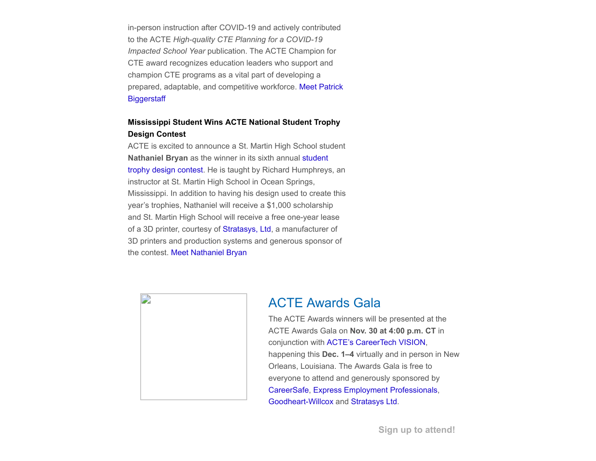in-person instruction after COVID-19 and actively contributed to the ACTE *High-quality CTE Planning for a COVID-19 Impacted School Year* publication. The ACTE Champion for CTE award recognizes education leaders who support and champion CTE programs as a vital part of developing a [prepared, adaptable, and competitive workforce. Meet Patrick](https://www.acteonline.org/press-releases/patrick-biggerstaff-named-acte-champion-for-cte/) **Biggerstaff** 

### **Mississippi Student Wins ACTE National Student Trophy Design Contest**

ACTE is excited to announce a St. Martin High School student **Nathaniel Bryan** as the winner in its sixth annual student [trophy design contest. He is taught by Richard Humphrey](https://www.acteonline.org/professional-development/acte-awards/student-trophy-design-contest/)s, an instructor at St. Martin High School in Ocean Springs, Mississippi. In addition to having his design used to create this year's trophies, Nathaniel will receive a \$1,000 scholarship and St. Martin High School will receive a free one-year lease of a 3D printer, courtesy of [Stratasys, Ltd,](https://www.stratasys.com/) a manufacturer of 3D printers and production systems and generous sponsor of the contest. [Meet Nathaniel Bryan](https://www.acteonline.org/press-releases/mississippi-student-wins-acte-national-student-trophy-design-contest/)



## ACTE Awards Gala

The ACTE Awards winners will be presented at the ACTE Awards Gala on **Nov. 30 at 4:00 p.m. CT** in conjunction with [ACTE's CareerTech VISION](https://www.careertechvision.com/), happening this **Dec. 1–4** virtually and in person in New Orleans, Louisiana. The Awards Gala is free to everyone to attend and generously sponsored by [CareerSafe,](https://www.careersafeonline.com/) [Express Employment Professionals,](https://www.expresspros.com/) [Goodheart-Willcox](https://www.g-w.com/) and [Stratasys Ltd.](https://www.stratasys.com/)

**[Sign up to attend!](https://acte.zoom.us/webinar/register/WN_oZkQxpg1Q6K8mzu3WAWE8w)**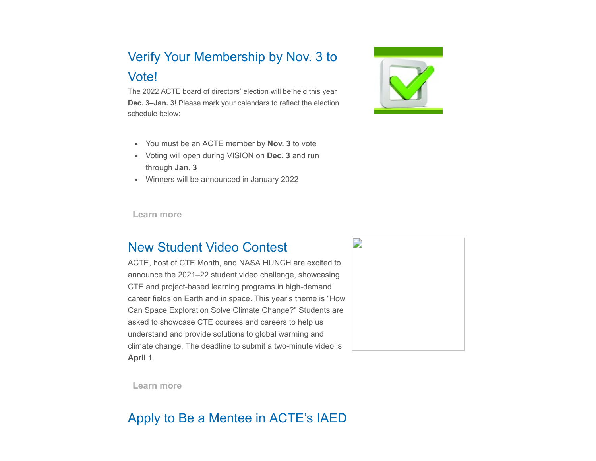# Verify Your Membership by Nov. 3 to Vote!

The 2022 ACTE board of directors' election will be held this year **Dec. 3–Jan. 3**! Please mark your calendars to reflect the election schedule below:

- You must be an ACTE member by **Nov. 3** to vote
- Voting will open during VISION on **Dec. 3** and run through **Jan. 3**
- Winners will be announced in January 2022

**[Learn more](https://www.acteonline.org/board_election_candidates/)**

## New Student Video Contest

ACTE, host of CTE Month, and NASA HUNCH are excited to announce the 2021–22 student video challenge, showcasing CTE and project-based learning programs in high-demand career fields on Earth and in space. This year's theme is "How Can Space Exploration Solve Climate Change?" Students are asked to showcase CTE courses and careers to help us understand and provide solutions to global warming and climate change. The deadline to submit a two-minute video is **April 1**.



**[Learn more](https://www.acteonline.org/why-cte/cte-awareness/cte-month/cte-month-2020-and-nasa-hunch-video-challenge/)**

# Apply to Be a Mentee in ACTE's IAED

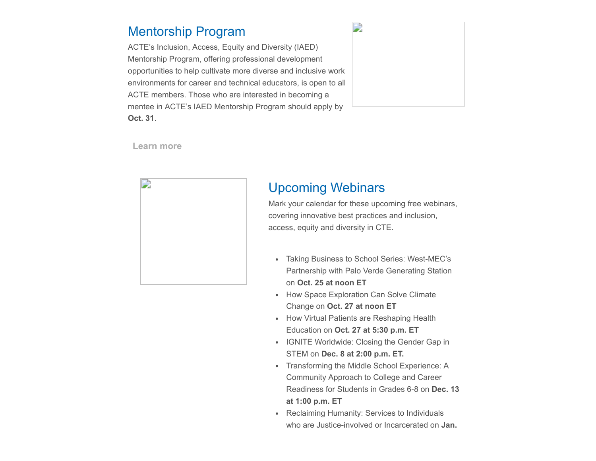## Mentorship Program

ACTE's Inclusion, Access, Equity and Diversity (IAED) Mentorship Program, offering professional development opportunities to help cultivate more diverse and inclusive work environments for career and technical educators, is open to all ACTE members. Those who are interested in becoming a mentee in ACTE's IAED Mentorship Program should apply by **Oct. 31**.



**[Learn more](https://www.acteonline.org/iaed/iaed-mentorship-program-2/)**



## Upcoming Webinars

Mark your calendar for these upcoming free webinars, covering innovative best practices and inclusion, access, equity and diversity in CTE.

- Taking Business to School Series: West-MEC's Partnership with Palo Verde Generating Station on **Oct. 25 at noon ET**
- How Space Exploration Can Solve Climate Change on **Oct. 27 at noon ET**
- How Virtual Patients are Reshaping Health Education on **Oct. 27 at 5:30 p.m. ET**
- IGNITE Worldwide: Closing the Gender Gap in STEM on **Dec. 8 at 2:00 p.m. ET.**
- Transforming the Middle School Experience: A Community Approach to College and Career Readiness for Students in Grades 6-8 on **Dec. 13 at 1:00 p.m. ET**
- Reclaiming Humanity: Services to Individuals who are Justice-involved or Incarcerated on **Jan.**